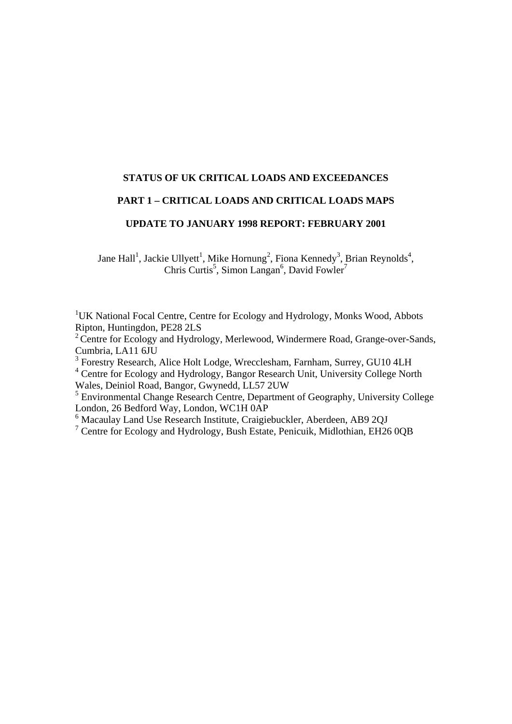# **STATUS OF UK CRITICAL LOADS AND EXCEEDANCES**

## **PART 1 – CRITICAL LOADS AND CRITICAL LOADS MAPS**

# **UPDATE TO JANUARY 1998 REPORT: FEBRUARY 2001**

Jane Hall<sup>1</sup>, Jackie Ullyett<sup>1</sup>, Mike Hornung<sup>2</sup>, Fiona Kennedy<sup>3</sup>, Brian Reynolds<sup>4</sup>, Chris Curtis<sup>5</sup>, Simon Langan<sup>6</sup>, David Fowler<sup>7</sup>

<sup>1</sup>UK National Focal Centre, Centre for Ecology and Hydrology, Monks Wood, Abbots Ripton, Huntingdon, PE28 2LS

<sup>2</sup> Centre for Ecology and Hydrology, Merlewood, Windermere Road, Grange-over-Sands, Cumbria, LA11 6JU

<sup>3</sup> Forestry Research, Alice Holt Lodge, Wrecclesham, Farnham, Surrey, GU10 4LH

<sup>4</sup> Centre for Ecology and Hydrology, Bangor Research Unit, University College North Wales, Deiniol Road, Bangor, Gwynedd, LL57 2UW

<sup>5</sup> Environmental Change Research Centre, Department of Geography, University College London, 26 Bedford Way, London, WC1H 0AP

<sup>6</sup> Macaulay Land Use Research Institute, Craigiebuckler, Aberdeen, AB9 2QJ<br><sup>7</sup> Centre for Ecology and Hydrology, Bush Estate, Penicuik, Midlothian, EH26 0QB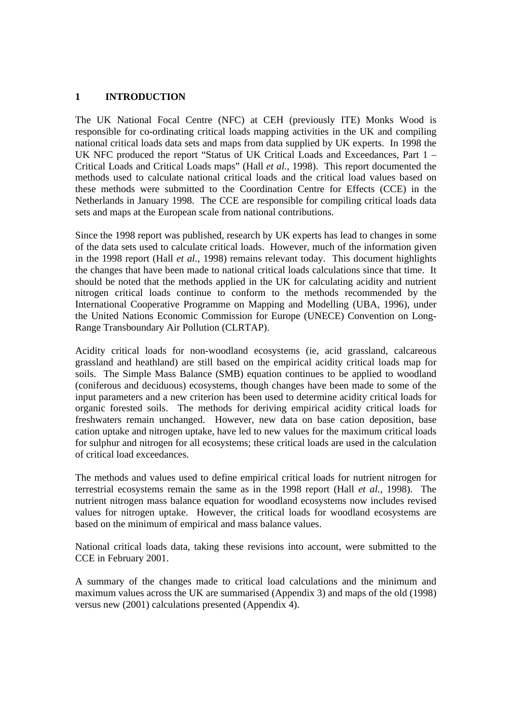# **1 INTRODUCTION**

The UK National Focal Centre (NFC) at CEH (previously ITE) Monks Wood is responsible for co-ordinating critical loads mapping activities in the UK and compiling national critical loads data sets and maps from data supplied by UK experts. In 1998 the UK NFC produced the report "Status of UK Critical Loads and Exceedances, Part 1 – Critical Loads and Critical Loads maps" (Hall *et al.*, 1998). This report documented the methods used to calculate national critical loads and the critical load values based on these methods were submitted to the Coordination Centre for Effects (CCE) in the Netherlands in January 1998. The CCE are responsible for compiling critical loads data sets and maps at the European scale from national contributions.

Since the 1998 report was published, research by UK experts has lead to changes in some of the data sets used to calculate critical loads. However, much of the information given in the 1998 report (Hall *et al.*, 1998) remains relevant today. This document highlights the changes that have been made to national critical loads calculations since that time. It should be noted that the methods applied in the UK for calculating acidity and nutrient nitrogen critical loads continue to conform to the methods recommended by the International Cooperative Programme on Mapping and Modelling (UBA, 1996), under the United Nations Economic Commission for Europe (UNECE) Convention on Long-Range Transboundary Air Pollution (CLRTAP).

Acidity critical loads for non-woodland ecosystems (ie, acid grassland, calcareous grassland and heathland) are still based on the empirical acidity critical loads map for soils. The Simple Mass Balance (SMB) equation continues to be applied to woodland (coniferous and deciduous) ecosystems, though changes have been made to some of the input parameters and a new criterion has been used to determine acidity critical loads for organic forested soils. The methods for deriving empirical acidity critical loads for freshwaters remain unchanged. However, new data on base cation deposition, base cation uptake and nitrogen uptake, have led to new values for the maximum critical loads for sulphur and nitrogen for all ecosystems; these critical loads are used in the calculation of critical load exceedances.

The methods and values used to define empirical critical loads for nutrient nitrogen for terrestrial ecosystems remain the same as in the 1998 report (Hall *et al.*, 1998). The nutrient nitrogen mass balance equation for woodland ecosystems now includes revised values for nitrogen uptake. However, the critical loads for woodland ecosystems are based on the minimum of empirical and mass balance values.

National critical loads data, taking these revisions into account, were submitted to the CCE in February 2001.

A summary of the changes made to critical load calculations and the minimum and maximum values across the UK are summarised (Appendix 3) and maps of the old (1998) versus new (2001) calculations presented (Appendix 4).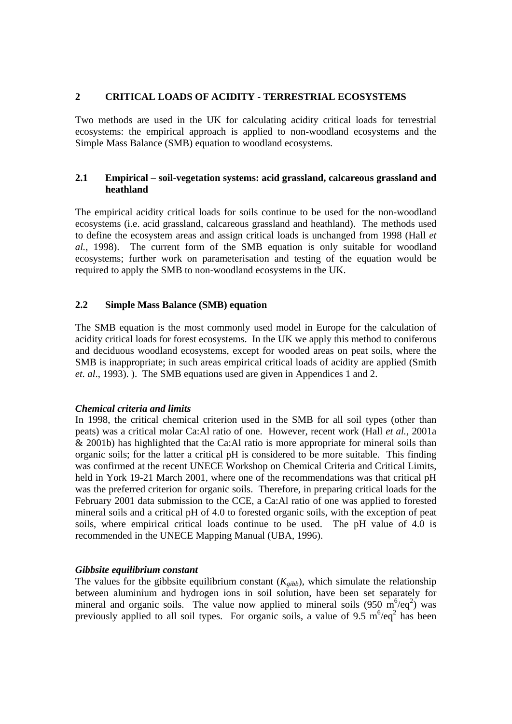### **2 CRITICAL LOADS OF ACIDITY - TERRESTRIAL ECOSYSTEMS**

Two methods are used in the UK for calculating acidity critical loads for terrestrial ecosystems: the empirical approach is applied to non-woodland ecosystems and the Simple Mass Balance (SMB) equation to woodland ecosystems.

## **2.1 Empirical – soil-vegetation systems: acid grassland, calcareous grassland and heathland**

The empirical acidity critical loads for soils continue to be used for the non-woodland ecosystems (i.e. acid grassland, calcareous grassland and heathland). The methods used to define the ecosystem areas and assign critical loads is unchanged from 1998 (Hall *et al.*, 1998). The current form of the SMB equation is only suitable for woodland ecosystems; further work on parameterisation and testing of the equation would be required to apply the SMB to non-woodland ecosystems in the UK.

### **2.2 Simple Mass Balance (SMB) equation**

The SMB equation is the most commonly used model in Europe for the calculation of acidity critical loads for forest ecosystems. In the UK we apply this method to coniferous and deciduous woodland ecosystems, except for wooded areas on peat soils, where the SMB is inappropriate; in such areas empirical critical loads of acidity are applied (Smith *et. al*., 1993). ). The SMB equations used are given in Appendices 1 and 2.

#### *Chemical criteria and limits*

In 1998, the critical chemical criterion used in the SMB for all soil types (other than peats) was a critical molar Ca:Al ratio of one. However, recent work (Hall *et al.*, 2001a & 2001b) has highlighted that the Ca:Al ratio is more appropriate for mineral soils than organic soils; for the latter a critical pH is considered to be more suitable. This finding was confirmed at the recent UNECE Workshop on Chemical Criteria and Critical Limits, held in York 19-21 March 2001, where one of the recommendations was that critical pH was the preferred criterion for organic soils. Therefore, in preparing critical loads for the February 2001 data submission to the CCE, a Ca:Al ratio of one was applied to forested mineral soils and a critical pH of 4.0 to forested organic soils, with the exception of peat soils, where empirical critical loads continue to be used. The pH value of 4.0 is recommended in the UNECE Mapping Manual (UBA, 1996).

## *Gibbsite equilibrium constant*

The values for the gibbsite equilibrium constant  $(K_{gibb})$ , which simulate the relationship between aluminium and hydrogen ions in soil solution, have been set separately for mineral and organic soils. The value now applied to mineral soils  $(950 \text{ m}^6/\text{eq}^2)$  was previously applied to all soil types. For organic soils, a value of 9.5  $m^6$ /eq<sup>2</sup> has been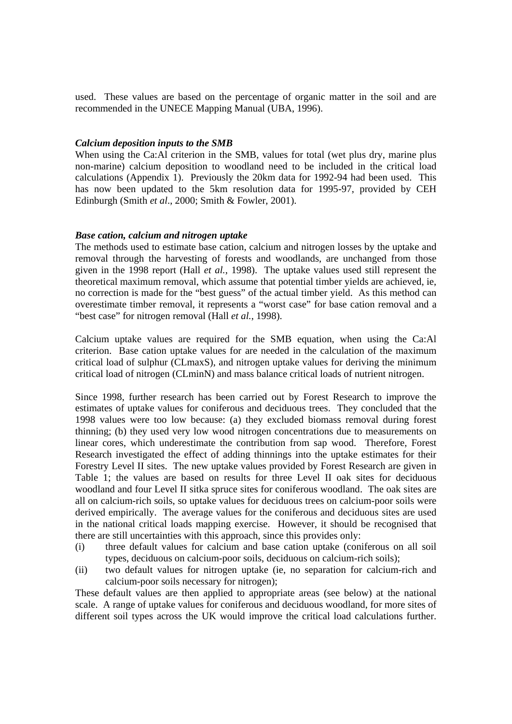used. These values are based on the percentage of organic matter in the soil and are recommended in the UNECE Mapping Manual (UBA, 1996).

#### *Calcium deposition inputs to the SMB*

When using the Ca:Al criterion in the SMB, values for total (wet plus dry, marine plus non-marine) calcium deposition to woodland need to be included in the critical load calculations (Appendix 1). Previously the 20km data for 1992-94 had been used. This has now been updated to the 5km resolution data for 1995-97, provided by CEH Edinburgh (Smith *et al*., 2000; Smith & Fowler, 2001).

### *Base cation, calcium and nitrogen uptake*

The methods used to estimate base cation, calcium and nitrogen losses by the uptake and removal through the harvesting of forests and woodlands, are unchanged from those given in the 1998 report (Hall *et al.*, 1998). The uptake values used still represent the theoretical maximum removal, which assume that potential timber yields are achieved, ie, no correction is made for the "best guess" of the actual timber yield. As this method can overestimate timber removal, it represents a "worst case" for base cation removal and a "best case" for nitrogen removal (Hall *et al.*, 1998).

Calcium uptake values are required for the SMB equation, when using the Ca:Al criterion. Base cation uptake values for are needed in the calculation of the maximum critical load of sulphur (CLmaxS), and nitrogen uptake values for deriving the minimum critical load of nitrogen (CLminN) and mass balance critical loads of nutrient nitrogen.

Since 1998, further research has been carried out by Forest Research to improve the estimates of uptake values for coniferous and deciduous trees. They concluded that the 1998 values were too low because: (a) they excluded biomass removal during forest thinning; (b) they used very low wood nitrogen concentrations due to measurements on linear cores, which underestimate the contribution from sap wood. Therefore, Forest Research investigated the effect of adding thinnings into the uptake estimates for their Forestry Level II sites. The new uptake values provided by Forest Research are given in Table 1; the values are based on results for three Level II oak sites for deciduous woodland and four Level II sitka spruce sites for coniferous woodland. The oak sites are all on calcium-rich soils, so uptake values for deciduous trees on calcium-poor soils were derived empirically. The average values for the coniferous and deciduous sites are used in the national critical loads mapping exercise. However, it should be recognised that there are still uncertainties with this approach, since this provides only:

- (i) three default values for calcium and base cation uptake (coniferous on all soil types, deciduous on calcium-poor soils, deciduous on calcium-rich soils);
- (ii) two default values for nitrogen uptake (ie, no separation for calcium-rich and calcium-poor soils necessary for nitrogen);

These default values are then applied to appropriate areas (see below) at the national scale. A range of uptake values for coniferous and deciduous woodland, for more sites of different soil types across the UK would improve the critical load calculations further.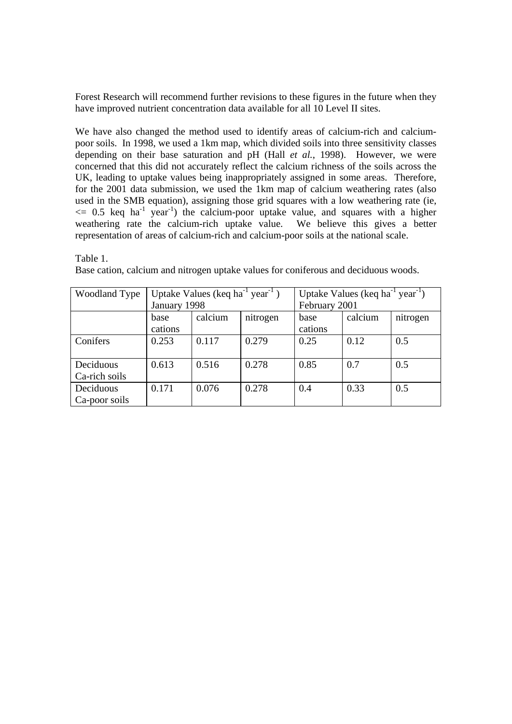Forest Research will recommend further revisions to these figures in the future when they have improved nutrient concentration data available for all 10 Level II sites.

We have also changed the method used to identify areas of calcium-rich and calciumpoor soils. In 1998, we used a 1km map, which divided soils into three sensitivity classes depending on their base saturation and pH (Hall *et al.*, 1998). However, we were concerned that this did not accurately reflect the calcium richness of the soils across the UK, leading to uptake values being inappropriately assigned in some areas. Therefore, for the 2001 data submission, we used the 1km map of calcium weathering rates (also used in the SMB equation), assigning those grid squares with a low weathering rate (ie,  $\epsilon = 0.5$  keq ha<sup>-1</sup> year<sup>-1</sup>) the calcium-poor uptake value, and squares with a higher weathering rate the calcium-rich uptake value. We believe this gives a better representation of areas of calcium-rich and calcium-poor soils at the national scale.

Table 1.

Base cation, calcium and nitrogen uptake values for coniferous and deciduous woods.

| <b>Woodland Type</b> |              | Uptake Values (keq ha <sup>-1</sup> year <sup>-1</sup> ) |          | Uptake Values (keq ha $^{-1}$ year $^{-1}$ ) |         |          |
|----------------------|--------------|----------------------------------------------------------|----------|----------------------------------------------|---------|----------|
|                      | January 1998 |                                                          |          | February 2001                                |         |          |
|                      | base         | calcium                                                  | nitrogen | base                                         | calcium | nitrogen |
|                      | cations      |                                                          |          | cations                                      |         |          |
| Conifers             | 0.253        | 0.117                                                    | 0.279    | 0.25                                         | 0.12    | 0.5      |
|                      |              |                                                          |          |                                              |         |          |
| Deciduous            | 0.613        | 0.516                                                    | 0.278    | 0.85                                         | 0.7     | 0.5      |
| Ca-rich soils        |              |                                                          |          |                                              |         |          |
| Deciduous            | 0.171        | 0.076                                                    | 0.278    | 0.4                                          | 0.33    | 0.5      |
| Ca-poor soils        |              |                                                          |          |                                              |         |          |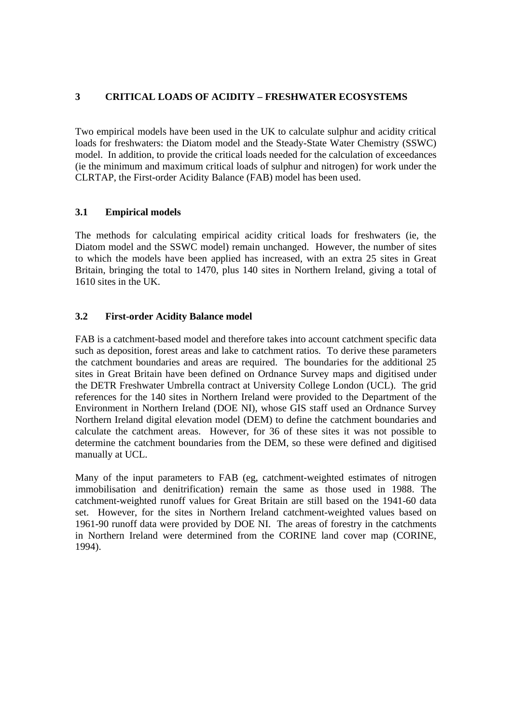# **3 CRITICAL LOADS OF ACIDITY – FRESHWATER ECOSYSTEMS**

Two empirical models have been used in the UK to calculate sulphur and acidity critical loads for freshwaters: the Diatom model and the Steady-State Water Chemistry (SSWC) model. In addition, to provide the critical loads needed for the calculation of exceedances (ie the minimum and maximum critical loads of sulphur and nitrogen) for work under the CLRTAP, the First-order Acidity Balance (FAB) model has been used.

## **3.1 Empirical models**

The methods for calculating empirical acidity critical loads for freshwaters (ie, the Diatom model and the SSWC model) remain unchanged. However, the number of sites to which the models have been applied has increased, with an extra 25 sites in Great Britain, bringing the total to 1470, plus 140 sites in Northern Ireland, giving a total of 1610 sites in the UK.

# **3.2 First-order Acidity Balance model**

FAB is a catchment-based model and therefore takes into account catchment specific data such as deposition, forest areas and lake to catchment ratios. To derive these parameters the catchment boundaries and areas are required. The boundaries for the additional 25 sites in Great Britain have been defined on Ordnance Survey maps and digitised under the DETR Freshwater Umbrella contract at University College London (UCL). The grid references for the 140 sites in Northern Ireland were provided to the Department of the Environment in Northern Ireland (DOE NI), whose GIS staff used an Ordnance Survey Northern Ireland digital elevation model (DEM) to define the catchment boundaries and calculate the catchment areas. However, for 36 of these sites it was not possible to determine the catchment boundaries from the DEM, so these were defined and digitised manually at UCL.

Many of the input parameters to FAB (eg, catchment-weighted estimates of nitrogen immobilisation and denitrification) remain the same as those used in 1988. The catchment-weighted runoff values for Great Britain are still based on the 1941-60 data set. However, for the sites in Northern Ireland catchment-weighted values based on 1961-90 runoff data were provided by DOE NI. The areas of forestry in the catchments in Northern Ireland were determined from the CORINE land cover map (CORINE, 1994).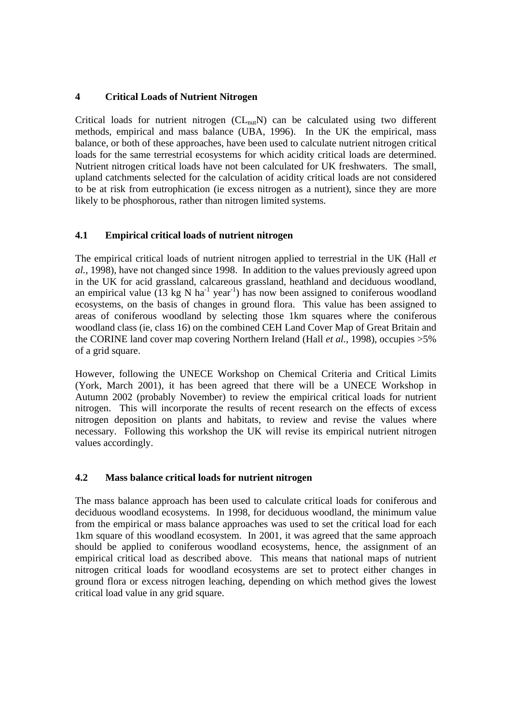# **4 Critical Loads of Nutrient Nitrogen**

Critical loads for nutrient nitrogen  $CL_{nut}N$  can be calculated using two different methods, empirical and mass balance (UBA, 1996). In the UK the empirical, mass balance, or both of these approaches, have been used to calculate nutrient nitrogen critical loads for the same terrestrial ecosystems for which acidity critical loads are determined. Nutrient nitrogen critical loads have not been calculated for UK freshwaters. The small, upland catchments selected for the calculation of acidity critical loads are not considered to be at risk from eutrophication (ie excess nitrogen as a nutrient), since they are more likely to be phosphorous, rather than nitrogen limited systems.

# **4.1 Empirical critical loads of nutrient nitrogen**

The empirical critical loads of nutrient nitrogen applied to terrestrial in the UK (Hall *et al.*, 1998), have not changed since 1998. In addition to the values previously agreed upon in the UK for acid grassland, calcareous grassland, heathland and deciduous woodland, an empirical value (13 kg N ha<sup>-1</sup> year<sup>-1</sup>) has now been assigned to coniferous woodland ecosystems, on the basis of changes in ground flora. This value has been assigned to areas of coniferous woodland by selecting those 1km squares where the coniferous woodland class (ie, class 16) on the combined CEH Land Cover Map of Great Britain and the CORINE land cover map covering Northern Ireland (Hall *et al.*, 1998), occupies >5% of a grid square.

However, following the UNECE Workshop on Chemical Criteria and Critical Limits (York, March 2001), it has been agreed that there will be a UNECE Workshop in Autumn 2002 (probably November) to review the empirical critical loads for nutrient nitrogen. This will incorporate the results of recent research on the effects of excess nitrogen deposition on plants and habitats, to review and revise the values where necessary. Following this workshop the UK will revise its empirical nutrient nitrogen values accordingly.

## **4.2 Mass balance critical loads for nutrient nitrogen**

The mass balance approach has been used to calculate critical loads for coniferous and deciduous woodland ecosystems. In 1998, for deciduous woodland, the minimum value from the empirical or mass balance approaches was used to set the critical load for each 1km square of this woodland ecosystem. In 2001, it was agreed that the same approach should be applied to coniferous woodland ecosystems, hence, the assignment of an empirical critical load as described above. This means that national maps of nutrient nitrogen critical loads for woodland ecosystems are set to protect either changes in ground flora or excess nitrogen leaching, depending on which method gives the lowest critical load value in any grid square.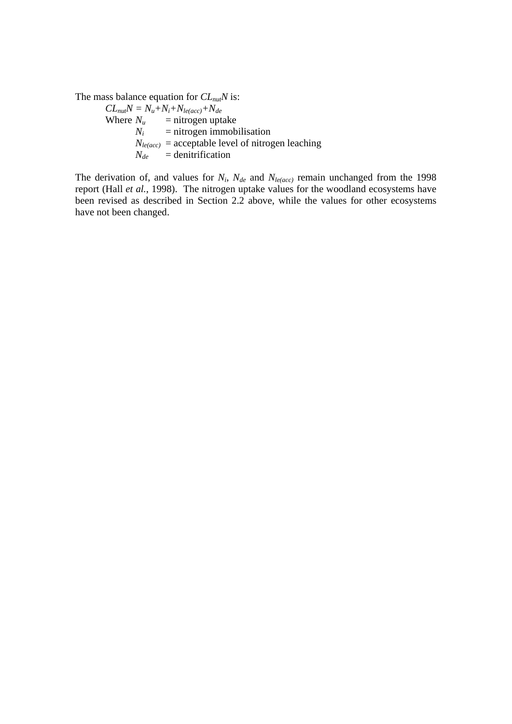The mass balance equation for *CL<sub>nut</sub>N* is:

 $CL_{nu}N = N_u + N_i + N_{le(acc)} + N_{de}$ <br>Where  $N_u$  = nitrogen upta  $N_u$  = nitrogen uptake<br> $N_i$  = nitrogen immob  $=$  nitrogen immobilisation  $N_{le(acc)}$  = acceptable level of nitrogen leaching  $N_{de}$  = denitrification

The derivation of, and values for  $N_i$ ,  $N_{de}$  and  $N_{le(ncc)}$  remain unchanged from the 1998 report (Hall *et al.*, 1998). The nitrogen uptake values for the woodland ecosystems have been revised as described in Section 2.2 above, while the values for other ecosystems have not been changed.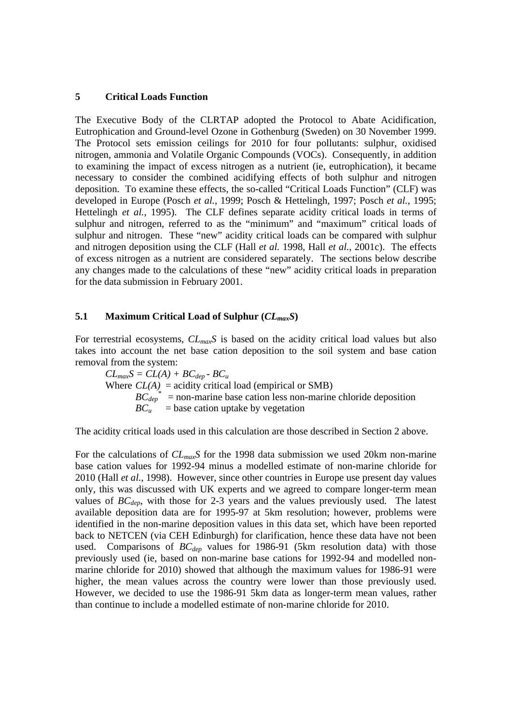#### **5 Critical Loads Function**

The Executive Body of the CLRTAP adopted the Protocol to Abate Acidification, Eutrophication and Ground-level Ozone in Gothenburg (Sweden) on 30 November 1999. The Protocol sets emission ceilings for 2010 for four pollutants: sulphur, oxidised nitrogen, ammonia and Volatile Organic Compounds (VOCs). Consequently, in addition to examining the impact of excess nitrogen as a nutrient (ie, eutrophication), it became necessary to consider the combined acidifying effects of both sulphur and nitrogen deposition. To examine these effects, the so-called "Critical Loads Function" (CLF) was developed in Europe (Posch *et al.*, 1999; Posch & Hettelingh, 1997; Posch *et al.*, 1995; Hettelingh *et al.*, 1995). The CLF defines separate acidity critical loads in terms of sulphur and nitrogen, referred to as the "minimum" and "maximum" critical loads of sulphur and nitrogen. These "new" acidity critical loads can be compared with sulphur and nitrogen deposition using the CLF (Hall *et al.* 1998, Hall *et al.*, 2001c). The effects of excess nitrogen as a nutrient are considered separately. The sections below describe any changes made to the calculations of these "new" acidity critical loads in preparation for the data submission in February 2001.

### **5.1 Maximum Critical Load of Sulphur (***CLmaxS***)**

For terrestrial ecosystems, *CLmaxS* is based on the acidity critical load values but also takes into account the net base cation deposition to the soil system and base cation removal from the system:

 $CL_{max}S = CL(A) + BC_{den} - BC_u$ Where  $CL(A)$  = acidity critical load (empirical or SMB)  $BC_{dep}^*$  = non-marine base cation less non-marine chloride deposition  $BC_u$  = base cation uptake by vegetation

The acidity critical loads used in this calculation are those described in Section 2 above.

For the calculations of *CLmaxS* for the 1998 data submission we used 20km non-marine base cation values for 1992-94 minus a modelled estimate of non-marine chloride for 2010 (Hall *et al.*, 1998). However, since other countries in Europe use present day values only, this was discussed with UK experts and we agreed to compare longer-term mean values of  $BC_{dep}$ , with those for 2-3 years and the values previously used. The latest available deposition data are for 1995-97 at 5km resolution; however, problems were identified in the non-marine deposition values in this data set, which have been reported back to NETCEN (via CEH Edinburgh) for clarification, hence these data have not been used. Comparisons of  $BC_{dep}$  values for 1986-91 (5km resolution data) with those previously used (ie, based on non-marine base cations for 1992-94 and modelled nonmarine chloride for 2010) showed that although the maximum values for 1986-91 were higher, the mean values across the country were lower than those previously used. However, we decided to use the 1986-91 5km data as longer-term mean values, rather than continue to include a modelled estimate of non-marine chloride for 2010.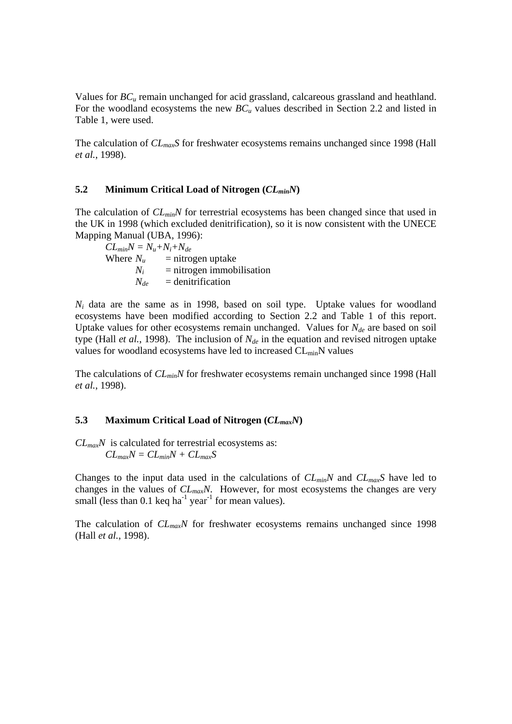Values for *BCu* remain unchanged for acid grassland, calcareous grassland and heathland. For the woodland ecosystems the new  $BC_u$  values described in Section 2.2 and listed in Table 1, were used.

The calculation of *CLmaxS* for freshwater ecosystems remains unchanged since 1998 (Hall *et al.*, 1998).

#### **5.2 Minimum Critical Load of Nitrogen (***CLminN***)**

The calculation of  $CL_{min}N$  for terrestrial ecosystems has been changed since that used in the UK in 1998 (which excluded denitrification), so it is now consistent with the UNECE Mapping Manual (UBA, 1996):

 $CL_{min}N = N_{u} + N_{i} + N_{de}$ Where  $N_u$  = nitrogen uptake  $N_i$  = nitrogen immobilisation  $N_{de}$  = denitrification

*Ni* data are the same as in 1998, based on soil type. Uptake values for woodland ecosystems have been modified according to Section 2.2 and Table 1 of this report. Uptake values for other ecosystems remain unchanged. Values for  $N_{de}$  are based on soil type (Hall *et al.*, 1998). The inclusion of *Nde* in the equation and revised nitrogen uptake values for woodland ecosystems have led to increased CL<sub>min</sub>N values

The calculations of *CL<sub>min</sub>N* for freshwater ecosystems remain unchanged since 1998 (Hall *et al.*, 1998).

#### **5.3 Maximum Critical Load of Nitrogen (***CLmaxN***)**

*CLmaxN* is calculated for terrestrial ecosystems as:  $CL_{max}N = CL_{min}N + CL_{max}S$ 

Changes to the input data used in the calculations of *CLminN* and *CLmaxS* have led to changes in the values of *CLmaxN*. However, for most ecosystems the changes are very small (less than 0.1 keq ha<sup>-1</sup> year<sup>-1</sup> for mean values).

The calculation of  $CL_{max}N$  for freshwater ecosystems remains unchanged since 1998 (Hall *et al.*, 1998).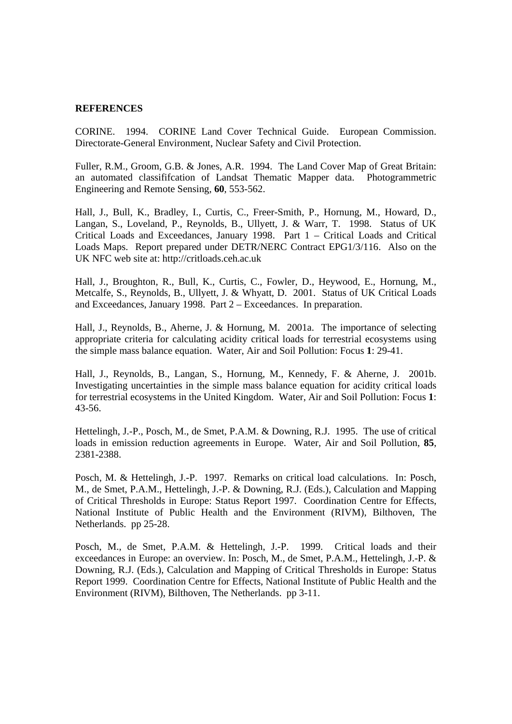#### **REFERENCES**

CORINE. 1994. CORINE Land Cover Technical Guide. European Commission. Directorate-General Environment, Nuclear Safety and Civil Protection.

Fuller, R.M., Groom, G.B. & Jones, A.R. 1994. The Land Cover Map of Great Britain: an automated classififcation of Landsat Thematic Mapper data. Photogrammetric Engineering and Remote Sensing, **60**, 553-562.

Hall, J., Bull, K., Bradley, I., Curtis, C., Freer-Smith, P., Hornung, M., Howard, D., Langan, S., Loveland, P., Reynolds, B., Ullyett, J. & Warr, T. 1998. Status of UK Critical Loads and Exceedances, January 1998. Part 1 – Critical Loads and Critical Loads Maps. Report prepared under DETR/NERC Contract EPG1/3/116. Also on the UK NFC web site at: http://critloads.ceh.ac.uk

Hall, J., Broughton, R., Bull, K., Curtis, C., Fowler, D., Heywood, E., Hornung, M., Metcalfe, S., Reynolds, B., Ullyett, J. & Whyatt, D. 2001. Status of UK Critical Loads and Exceedances, January 1998. Part 2 – Exceedances. In preparation.

Hall, J., Reynolds, B., Aherne, J. & Hornung, M. 2001a. The importance of selecting appropriate criteria for calculating acidity critical loads for terrestrial ecosystems using the simple mass balance equation. Water, Air and Soil Pollution: Focus **1**: 29-41.

Hall, J., Reynolds, B., Langan, S., Hornung, M., Kennedy, F. & Aherne, J. 2001b. Investigating uncertainties in the simple mass balance equation for acidity critical loads for terrestrial ecosystems in the United Kingdom. Water, Air and Soil Pollution: Focus **1**: 43-56.

Hettelingh, J.-P., Posch, M., de Smet, P.A.M. & Downing, R.J. 1995. The use of critical loads in emission reduction agreements in Europe. Water, Air and Soil Pollution, **85**, 2381-2388.

Posch, M. & Hettelingh, J.-P. 1997. Remarks on critical load calculations. In: Posch, M., de Smet, P.A.M., Hettelingh, J.-P. & Downing, R.J. (Eds.), Calculation and Mapping of Critical Thresholds in Europe: Status Report 1997. Coordination Centre for Effects, National Institute of Public Health and the Environment (RIVM), Bilthoven, The Netherlands. pp 25-28.

Posch, M., de Smet, P.A.M. & Hettelingh, J.-P. 1999. Critical loads and their exceedances in Europe: an overview. In: Posch, M., de Smet, P.A.M., Hettelingh, J.-P. & Downing, R.J. (Eds.), Calculation and Mapping of Critical Thresholds in Europe: Status Report 1999. Coordination Centre for Effects, National Institute of Public Health and the Environment (RIVM), Bilthoven, The Netherlands. pp 3-11.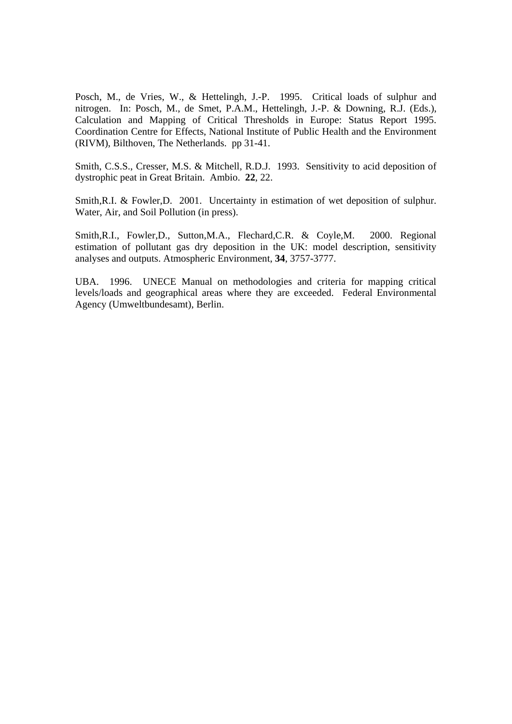Posch, M., de Vries, W., & Hettelingh, J.-P. 1995. Critical loads of sulphur and nitrogen. In: Posch, M., de Smet, P.A.M., Hettelingh, J.-P. & Downing, R.J. (Eds.), Calculation and Mapping of Critical Thresholds in Europe: Status Report 1995. Coordination Centre for Effects, National Institute of Public Health and the Environment (RIVM), Bilthoven, The Netherlands. pp 31-41.

Smith, C.S.S., Cresser, M.S. & Mitchell, R.D.J. 1993. Sensitivity to acid deposition of dystrophic peat in Great Britain. Ambio. **22**, 22.

Smith,R.I. & Fowler,D. 2001. Uncertainty in estimation of wet deposition of sulphur. Water, Air, and Soil Pollution (in press).

Smith,R.I., Fowler,D., Sutton,M.A., Flechard,C.R. & Coyle,M. 2000. Regional estimation of pollutant gas dry deposition in the UK: model description, sensitivity analyses and outputs. Atmospheric Environment, **34**, 3757-3777.

UBA. 1996. UNECE Manual on methodologies and criteria for mapping critical levels/loads and geographical areas where they are exceeded. Federal Environmental Agency (Umweltbundesamt), Berlin.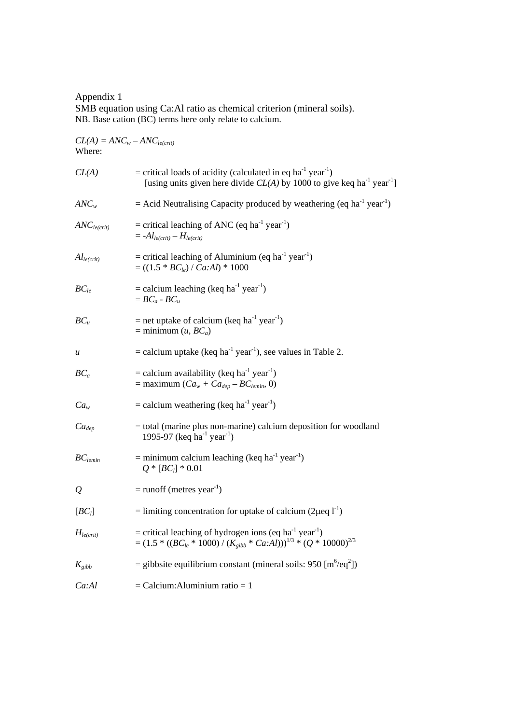Appendix 1 SMB equation using Ca:Al ratio as chemical criterion (mineral soils). NB. Base cation (BC) terms here only relate to calcium.

 $CL(A) = ANC<sub>w</sub> - ANC<sub>le(crit</sub>)$ Where:  $CL(A)$  = critical loads of acidity (calculated in eq ha<sup>-1</sup> year<sup>-1</sup>) [using units given here divide  $CL(A)$  by 1000 to give keq ha<sup>-1</sup> year<sup>-1</sup>] *ANC<sub>w</sub>* = Acid Neutralising Capacity produced by weathering (eq ha<sup>-1</sup> year<sup>-1</sup>)  $ANC<sub>le(crit)</sub>$  = critical leaching of ANC (eq ha<sup>-1</sup> year<sup>-1</sup>)  $= -A l_{le(crit)} - H_{le(crit)}$  $Al_{le(crit)}$  = critical leaching of Aluminium (eq ha<sup>-1</sup> year<sup>-1</sup>)  $= ((1.5 * BC_{le}) / \bar{C}a:Al) * 1000$  $BC_{1e}$  = calcium leaching (keq ha<sup>-1</sup> year<sup>-1</sup>)  $= BC_a - BC_u$  $BC_u$  = net uptake of calcium (keq ha<sup>-1</sup> year<sup>-1</sup>)  $=$  minimum (*u*, *BC<sub>a</sub>*) *u* = calcium uptake (keq ha<sup>-1</sup> year<sup>-1</sup>), see values in Table 2.  $BC_a$  = calcium availability (keq ha<sup>-1</sup> year<sup>-1</sup>)  $=$  maximum  $(Ca_w + Ca_{dep} - BC_{lemin}, 0)$  $Ca<sub>w</sub>$  = calcium weathering (keq ha<sup>-1</sup> year<sup>-1</sup>)  $Ca_{dep}$  = total (marine plus non-marine) calcium deposition for woodland 1995-97 (keq ha<sup>-1</sup> year<sup>-1</sup>)  $BC_{lcmin}$  = minimum calcium leaching (keq ha<sup>-1</sup> year<sup>-1</sup>)  $Q * [BC_i] * 0.01$  $Q = \text{runoff}$  (metres year<sup>-1</sup>)  $[BC_l]$  = limiting concentration for uptake of calcium (2μeq l<sup>-1</sup>)  $H_{le(crit)}$  = critical leaching of hydrogen ions (eq ha<sup>-1</sup> year<sup>-1</sup>)  $=(1.5 * ((BC<sub>le</sub> * 1000) / (K<sub>gibb</sub> * Ca:AI)))^{1/3} * (Q * 10000)^{2/3}$  $K_{gibb}$  = gibbsite equilibrium constant (mineral soils: 950 [m<sup>6</sup>/eq<sup>2</sup>])  $Ca:Al$  = Calcium:Aluminium ratio = 1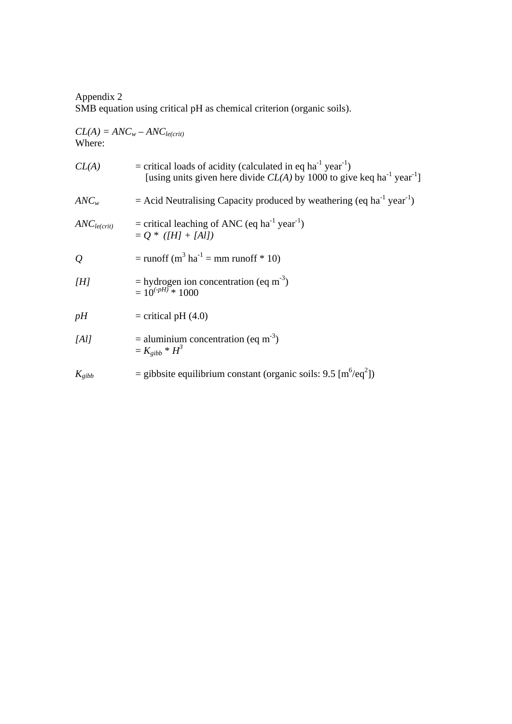## Appendix 2 SMB equation using critical pH as chemical criterion (organic soils).

| $CL(A) = ANC_w - ANC_{le(crit)}$ |  |
|----------------------------------|--|
| Where:                           |  |

| CL(A)                   | = critical loads of acidity (calculated in eq ha <sup>-1</sup> year <sup>-1</sup> )<br>[using units given here divide $CL(A)$ by 1000 to give keq ha <sup>-1</sup> year <sup>-1</sup> ] |
|-------------------------|-----------------------------------------------------------------------------------------------------------------------------------------------------------------------------------------|
| $ANC_w$                 | $=$ Acid Neutralising Capacity produced by weathering (eq ha <sup>-1</sup> year <sup>-1</sup> )                                                                                         |
| ANC <sub>le(crit)</sub> | = critical leaching of ANC (eq ha <sup>-1</sup> year <sup>-1</sup> )<br>$= Q * (HI + [Al])$                                                                                             |
| $\mathcal{Q}$           | $=$ runoff (m <sup>3</sup> ha <sup>-1</sup> = mm runoff * 10)                                                                                                                           |
| [H]                     | $=$ hydrogen ion concentration (eq m <sup>-3</sup> )<br>$= 10^{(-pH)} * 1000$                                                                                                           |
| pH                      | $=$ critical pH $(4.0)$                                                                                                                                                                 |
| [Al]                    | $=$ aluminium concentration (eq m <sup>-3</sup> )<br>$= K_{gibb} * H^3$                                                                                                                 |
| $K_{gibb}$              | = gibbsite equilibrium constant (organic soils: $9.5 \,[\text{m}^6/\text{eq}^2]$ )                                                                                                      |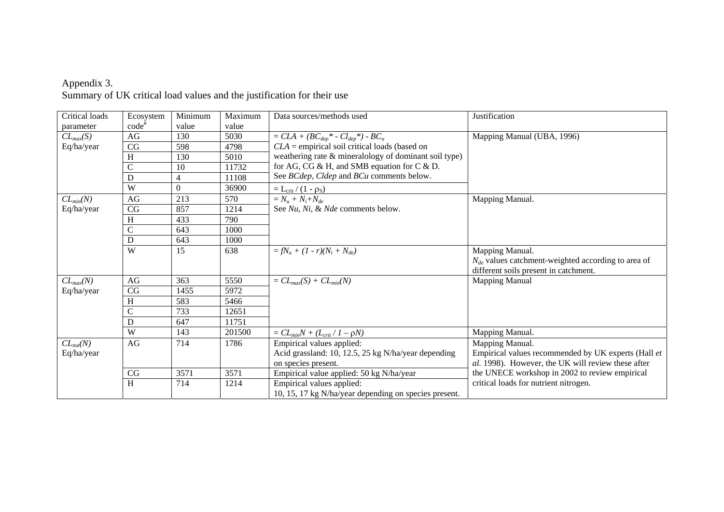| Critical loads | Ecosystem     | Minimum  | Maximum | Data sources/methods used                             | Justification                                           |
|----------------|---------------|----------|---------|-------------------------------------------------------|---------------------------------------------------------|
| parameter      | $code^*$      | value    | value   |                                                       |                                                         |
| $CL_{max}(S)$  | AG            | 130      | 5030    | $= CLA + (BC_{dep}^* - Cl_{dep}^*) - BC_u$            | Mapping Manual (UBA, 1996)                              |
| Eq/ha/year     | $\rm{CG}$     | 598      | 4798    | $CLA = empirical soil critical loads (based on)$      |                                                         |
|                | H             | 130      | 5010    | weathering rate & mineralology of dominant soil type) |                                                         |
|                | $\mathcal{C}$ | 10       | 11732   | for AG, CG & H, and SMB equation for C & D.           |                                                         |
|                | $\mathbf D$   | 4        | 11108   | See BCdep, Cldep and BCu comments below.              |                                                         |
|                | W             | $\Omega$ | 36900   | $=\underline{L_{crit}}/(1-\rho_S)$                    |                                                         |
| $CL_{min}(N)$  | AG            | 213      | 570     | $=N_u + N_i + N_{de}$                                 | Mapping Manual.                                         |
| Eq/ha/year     | $\rm{CG}$     | 857      | 1214    | See Nu, Ni, & Nde comments below.                     |                                                         |
|                | H             | 433      | 790     |                                                       |                                                         |
|                | $\mathcal{C}$ | 643      | 1000    |                                                       |                                                         |
|                | $\mathbf D$   | 643      | 1000    |                                                       |                                                         |
|                | W             | 15       | 638     | $=fN_u + (1 - r)(N_i + N_{de})$                       | Mapping Manual.                                         |
|                |               |          |         |                                                       | $N_{de}$ values catchment-weighted according to area of |
|                |               |          |         |                                                       | different soils present in catchment.                   |
| $CL_{max}(N)$  | AG            | 363      | 5550    | $= CL_{max}(S) + CL_{min}(N)$                         | <b>Mapping Manual</b>                                   |
| Eq/ha/year     | CG            | 1455     | 5972    |                                                       |                                                         |
|                | H             | 583      | 5466    |                                                       |                                                         |
|                | $\mathcal{C}$ | 733      | 12651   |                                                       |                                                         |
|                | D             | 647      | 11751   |                                                       |                                                         |
|                | W             | 143      | 201500  | $= CL_{min}N + (L_{crit}/I - \rho N)$                 | Mapping Manual.                                         |
| $CL_{nut}(N)$  | AG            | 714      | 1786    | Empirical values applied:                             | Mapping Manual.                                         |
| Eq/ha/year     |               |          |         | Acid grassland: 10, 12.5, 25 kg N/ha/year depending   | Empirical values recommended by UK experts (Hall et     |
|                |               |          |         | on species present.                                   | al. 1998). However, the UK will review these after      |
|                | CG            | 3571     | 3571    | Empirical value applied: 50 kg N/ha/year              | the UNECE workshop in 2002 to review empirical          |
|                | H             | 714      | 1214    | Empirical values applied:                             | critical loads for nutrient nitrogen.                   |
|                |               |          |         | 10, 15, 17 kg N/ha/year depending on species present. |                                                         |

#### Appendix 3. Summary of UK critical load values and the justification for their use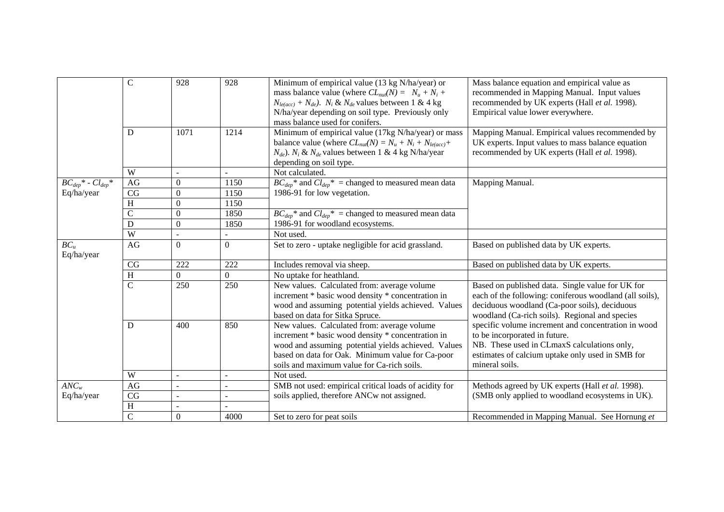|                             | $\overline{C}$ | 928                      | 928            | Minimum of empirical value (13 kg N/ha/year) or<br>mass balance value (where $CL_{nu}(N) = N_u + N_i +$<br>$N_{le(ncc)} + N_{de}$ ). $N_i$ & $N_{de}$ values between 1 & 4 kg<br>N/ha/year depending on soil type. Previously only<br>mass balance used for conifers. | Mass balance equation and empirical value as<br>recommended in Mapping Manual. Input values<br>recommended by UK experts (Hall et al. 1998).<br>Empirical value lower everywhere.                              |
|-----------------------------|----------------|--------------------------|----------------|-----------------------------------------------------------------------------------------------------------------------------------------------------------------------------------------------------------------------------------------------------------------------|----------------------------------------------------------------------------------------------------------------------------------------------------------------------------------------------------------------|
|                             | D              | 1071                     | 1214           | Minimum of empirical value (17kg N/ha/year) or mass<br>balance value (where $CL_{nu}(N) = N_u + N_i + N_{le(acc)} +$<br>$N_{de}$ ). $N_i \& N_{de}$ values between 1 & 4 kg N/ha/year<br>depending on soil type.                                                      | Mapping Manual. Empirical values recommended by<br>UK experts. Input values to mass balance equation<br>recommended by UK experts (Hall et al. 1998).                                                          |
|                             | W              | $\overline{a}$           |                | Not calculated.                                                                                                                                                                                                                                                       |                                                                                                                                                                                                                |
| $BC_{dep}^*$ - $Cl_{dep}^*$ | AG             | 0                        | 1150           | $BC_{dep}$ <sup>*</sup> and $Cl_{dep}$ <sup>*</sup> = changed to measured mean data                                                                                                                                                                                   | Mapping Manual.                                                                                                                                                                                                |
| Eq/ha/year                  | CG             | 0                        | 1150           | 1986-91 for low vegetation.                                                                                                                                                                                                                                           |                                                                                                                                                                                                                |
|                             | H              | $\theta$                 | 1150           |                                                                                                                                                                                                                                                                       |                                                                                                                                                                                                                |
|                             | $\overline{C}$ | 0                        | 1850           | $BC_{dep}$ <sup>*</sup> and $Cl_{dep}$ <sup>*</sup> = changed to measured mean data                                                                                                                                                                                   |                                                                                                                                                                                                                |
|                             | $\mathbf D$    | $\boldsymbol{0}$         | 1850           | 1986-91 for woodland ecosystems.                                                                                                                                                                                                                                      |                                                                                                                                                                                                                |
|                             | $\overline{W}$ | ٠                        | ÷.             | Not used.                                                                                                                                                                                                                                                             |                                                                                                                                                                                                                |
| $BC_u$<br>Eq/ha/year        | AG             | $\theta$                 | $\Omega$       | Set to zero - uptake negligible for acid grassland.                                                                                                                                                                                                                   | Based on published data by UK experts.                                                                                                                                                                         |
|                             | CG             | 222                      | 222            | Includes removal via sheep.                                                                                                                                                                                                                                           | Based on published data by UK experts.                                                                                                                                                                         |
|                             | H              | $\Omega$                 | $\overline{0}$ | No uptake for heathland.                                                                                                                                                                                                                                              |                                                                                                                                                                                                                |
|                             | $\overline{C}$ | 250                      | 250            | New values. Calculated from: average volume<br>increment * basic wood density * concentration in<br>wood and assuming potential yields achieved. Values<br>based on data for Sitka Spruce.                                                                            | Based on published data. Single value for UK for<br>each of the following: coniferous woodland (all soils),<br>deciduous woodland (Ca-poor soils), deciduous<br>woodland (Ca-rich soils). Regional and species |
|                             | D              | 400                      | 850            | New values. Calculated from: average volume<br>increment * basic wood density * concentration in<br>wood and assuming potential yields achieved. Values<br>based on data for Oak. Minimum value for Ca-poor<br>soils and maximum value for Ca-rich soils.             | specific volume increment and concentration in wood<br>to be incorporated in future.<br>NB. These used in CLmaxS calculations only,<br>estimates of calcium uptake only used in SMB for<br>mineral soils.      |
|                             | W              | $\overline{\phantom{a}}$ |                | Not used.                                                                                                                                                                                                                                                             |                                                                                                                                                                                                                |
| $ANC_w$                     | AG             |                          |                | SMB not used: empirical critical loads of acidity for                                                                                                                                                                                                                 | Methods agreed by UK experts (Hall et al. 1998).                                                                                                                                                               |
| Eq/ha/year                  | CG             | $\overline{a}$           |                | soils applied, therefore ANCw not assigned.                                                                                                                                                                                                                           | (SMB only applied to woodland ecosystems in UK).                                                                                                                                                               |
|                             | $\rm H$        |                          |                |                                                                                                                                                                                                                                                                       |                                                                                                                                                                                                                |
|                             | $\overline{C}$ | $\Omega$                 | 4000           | Set to zero for peat soils                                                                                                                                                                                                                                            | Recommended in Mapping Manual. See Hornung et                                                                                                                                                                  |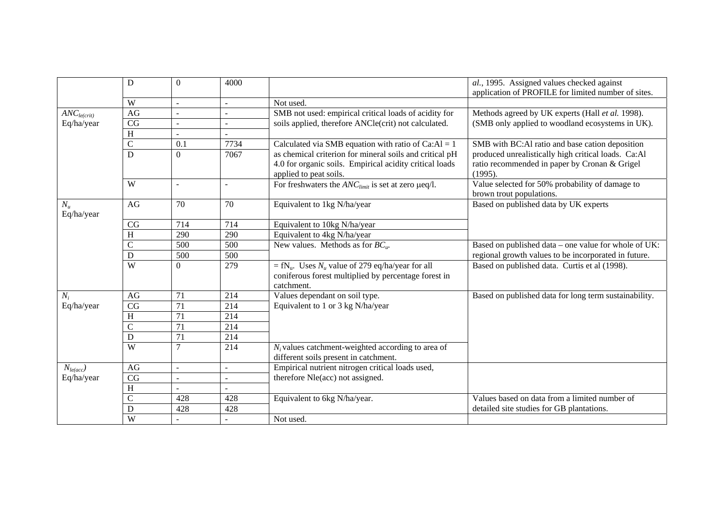|                             | D                      | $\Omega$                 | 4000 |                                                                                                                                      | al., 1995. Assigned values checked against<br>application of PROFILE for limited number of sites. |
|-----------------------------|------------------------|--------------------------|------|--------------------------------------------------------------------------------------------------------------------------------------|---------------------------------------------------------------------------------------------------|
|                             | W                      | $\blacksquare$           |      | Not used.                                                                                                                            |                                                                                                   |
| $\overline{ANC}_{le(crit)}$ | AG                     | $\blacksquare$           |      | SMB not used: empirical critical loads of acidity for                                                                                | Methods agreed by UK experts (Hall et al. 1998).                                                  |
| Eq/ha/year                  | CG                     | $\blacksquare$           |      | soils applied, therefore ANCle(crit) not calculated.                                                                                 | (SMB only applied to woodland ecosystems in UK).                                                  |
|                             | H                      | $\sim$                   |      |                                                                                                                                      |                                                                                                   |
|                             | $\mathcal{C}$          | 0.1                      | 7734 | Calculated via SMB equation with ratio of $Ca:AI = 1$                                                                                | SMB with BC:Al ratio and base cation deposition                                                   |
|                             | D                      | $\Omega$                 | 7067 | as chemical criterion for mineral soils and critical pH                                                                              | produced unrealistically high critical loads. Ca:Al                                               |
|                             |                        |                          |      | 4.0 for organic soils. Empirical acidity critical loads<br>applied to peat soils.                                                    | ratio recommended in paper by Cronan & Grigel<br>(1995).                                          |
|                             | W                      | $\overline{\phantom{a}}$ |      | For freshwaters the $ANClimit$ is set at zero $\mu$ eq/l.                                                                            | Value selected for 50% probability of damage to                                                   |
|                             |                        |                          |      |                                                                                                                                      | brown trout populations.                                                                          |
| $N_u$<br>Eq/ha/year         | AG                     | 70                       | 70   | Equivalent to 1kg N/ha/year                                                                                                          | Based on published data by UK experts                                                             |
|                             | CG                     | 714                      | 714  | Equivalent to 10kg N/ha/year                                                                                                         |                                                                                                   |
|                             | H                      | 290                      | 290  | Equivalent to 4kg N/ha/year                                                                                                          |                                                                                                   |
|                             | $\mathsf{C}$           | 500                      | 500  | New values. Methods as for $BC_u$ .                                                                                                  | Based on published data – one value for whole of UK:                                              |
|                             | D                      | 500                      | 500  |                                                                                                                                      | regional growth values to be incorporated in future.                                              |
|                             | $\overline{W}$         | $\Omega$                 | 279  | = fN <sub>u</sub> . Uses $N_u$ value of 279 eq/ha/year for all<br>coniferous forest multiplied by percentage forest in<br>catchment. | Based on published data. Curtis et al (1998).                                                     |
| $N_i$                       | AG                     | 71                       | 214  | Values dependant on soil type.                                                                                                       | Based on published data for long term sustainability.                                             |
| Eq/ha/year                  | CG                     | 71                       | 214  | Equivalent to 1 or 3 kg N/ha/year                                                                                                    |                                                                                                   |
|                             | H                      | 71                       | 214  |                                                                                                                                      |                                                                                                   |
|                             | $\mathcal{C}$          | $\overline{71}$          | 214  |                                                                                                                                      |                                                                                                   |
|                             | $\mathbf D$            | 71                       | 214  |                                                                                                                                      |                                                                                                   |
|                             | $\overline{W}$         | 7                        | 214  | $N_i$ values catchment-weighted according to area of                                                                                 |                                                                                                   |
|                             |                        |                          |      | different soils present in catchment.                                                                                                |                                                                                                   |
| $N_{le(acc)}$               | AG                     | $\overline{a}$           | ÷.   | Empirical nutrient nitrogen critical loads used,                                                                                     |                                                                                                   |
| Eq/ha/year                  | $\overline{\text{CG}}$ |                          |      | therefore Nle(acc) not assigned.                                                                                                     |                                                                                                   |
|                             | H                      |                          |      |                                                                                                                                      |                                                                                                   |
|                             | $\mathsf{C}$           | 428                      | 428  | Equivalent to 6kg N/ha/year.                                                                                                         | Values based on data from a limited number of                                                     |
|                             | D                      | 428                      | 428  |                                                                                                                                      | detailed site studies for GB plantations.                                                         |
|                             | W                      |                          |      | Not used.                                                                                                                            |                                                                                                   |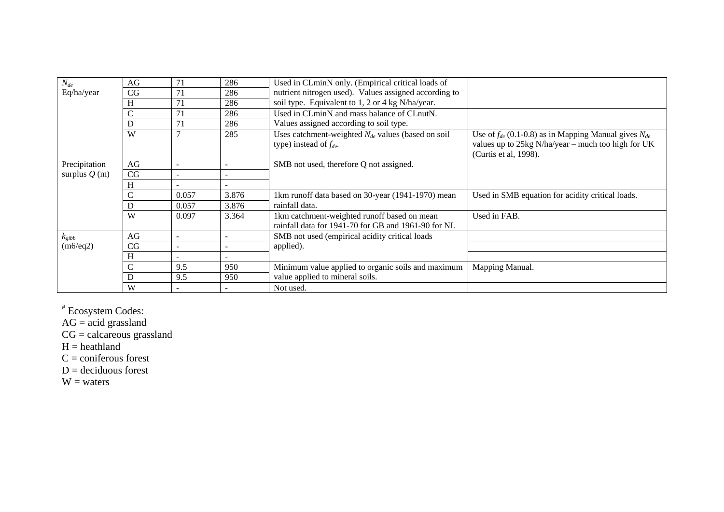| $N_{de}$<br>Eq/ha/year | AG<br>CG<br>H      | 71<br>71<br>71           | 286<br>286<br>286            | Used in CLminN only. (Empirical critical loads of<br>nutrient nitrogen used). Values assigned according to<br>soil type. Equivalent to 1, 2 or 4 kg N/ha/year. |                                                                                                                                              |
|------------------------|--------------------|--------------------------|------------------------------|----------------------------------------------------------------------------------------------------------------------------------------------------------------|----------------------------------------------------------------------------------------------------------------------------------------------|
|                        | $\mathcal{C}$<br>D | 71<br>71                 | 286<br>286                   | Used in CLminN and mass balance of CLnutN.<br>Values assigned according to soil type.                                                                          |                                                                                                                                              |
|                        | W                  |                          | 285                          | Uses catchment-weighted $N_{de}$ values (based on soil<br>type) instead of $f_{de}$ .                                                                          | Use of $f_{de}$ (0.1-0.8) as in Mapping Manual gives $N_{de}$<br>values up to 25kg N/ha/year – much too high for UK<br>(Curtis et al, 1998). |
| Precipitation          | AG                 |                          |                              | SMB not used, therefore Q not assigned.                                                                                                                        |                                                                                                                                              |
| surplus $Q(m)$         | CG                 | $\overline{\phantom{a}}$ | $\qquad \qquad \blacksquare$ |                                                                                                                                                                |                                                                                                                                              |
|                        | H                  |                          |                              |                                                                                                                                                                |                                                                                                                                              |
|                        | $\mathcal{C}$      | 0.057                    | 3.876                        | 1km runoff data based on 30-year (1941-1970) mean                                                                                                              | Used in SMB equation for acidity critical loads.                                                                                             |
|                        | D                  | 0.057                    | 3.876                        | rainfall data.                                                                                                                                                 |                                                                                                                                              |
|                        | W                  | 0.097                    | 3.364                        | 1km catchment-weighted runoff based on mean<br>rainfall data for 1941-70 for GB and 1961-90 for NI.                                                            | Used in FAB.                                                                                                                                 |
| $k_{gibb}$             | AG                 |                          |                              | SMB not used (empirical acidity critical loads                                                                                                                 |                                                                                                                                              |
| (m6/eq2)               | CG                 |                          |                              | applied).                                                                                                                                                      |                                                                                                                                              |
|                        | H                  |                          |                              |                                                                                                                                                                |                                                                                                                                              |
|                        | $\mathsf{C}$       | 9.5                      | 950                          | Minimum value applied to organic soils and maximum                                                                                                             | Mapping Manual.                                                                                                                              |
|                        | D                  | 9.5                      | 950                          | value applied to mineral soils.                                                                                                                                |                                                                                                                                              |
|                        | W                  |                          |                              | Not used.                                                                                                                                                      |                                                                                                                                              |

# Ecosystem Codes:

 $AG = acid$  grassland

 $CG = \ncalcareous grassland$ 

 $H =$  heathland

 $C =$  coniferous forest

 $D =$  deciduous forest

 $W = waters$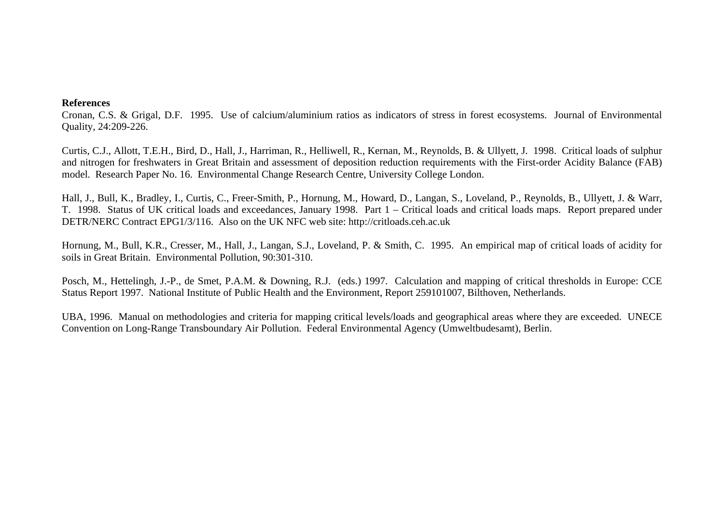### **References**

Cronan, C.S. & Grigal, D.F. 1995. Use of calcium/aluminium ratios as indicators of stress in forest ecosystems. Journal of Environmental Quality, 24:209-226.

Curtis, C.J., Allott, T.E.H., Bird, D., Hall, J., Harriman, R., Helliwell, R., Kernan, M., Reynolds, B. & Ullyett, J. 1998. Critical loads of sulphur and nitrogen for freshwaters in Great Britain and assessment of deposition reduction requirements with the First-order Acidity Balance (FAB) model. Research Paper No. 16. Environmental Change Research Centre, University College London.

Hall, J., Bull, K., Bradley, I., Curtis, C., Freer-Smith, P., Hornung, M., Howard, D., Langan, S., Loveland, P., Reynolds, B., Ullyett, J. & Warr, T. 1998. Status of UK critical loads and exceedances, January 1998. Part 1 – Critical loads and critical loads maps. Report prepared under DETR/NERC Contract EPG1/3/116. Also on the UK NFC web site: http://critloads.ceh.ac.uk

Hornung, M., Bull, K.R., Cresser, M., Hall, J., Langan, S.J., Loveland, P. & Smith, C. 1995. An empirical map of critical loads of acidity for soils in Great Britain. Environmental Pollution, 90:301-310.

Posch, M., Hettelingh, J.-P., de Smet, P.A.M. & Downing, R.J. (eds.) 1997. Calculation and mapping of critical thresholds in Europe: CCE Status Report 1997. National Institute of Public Health and the Environment, Report 259101007, Bilthoven, Netherlands.

UBA, 1996. Manual on methodologies and criteria for mapping critical levels/loads and geographical areas where they are exceeded. UNECE Convention on Long-Range Transboundary Air Pollution. Federal Environmental Agency (Umweltbudesamt), Berlin.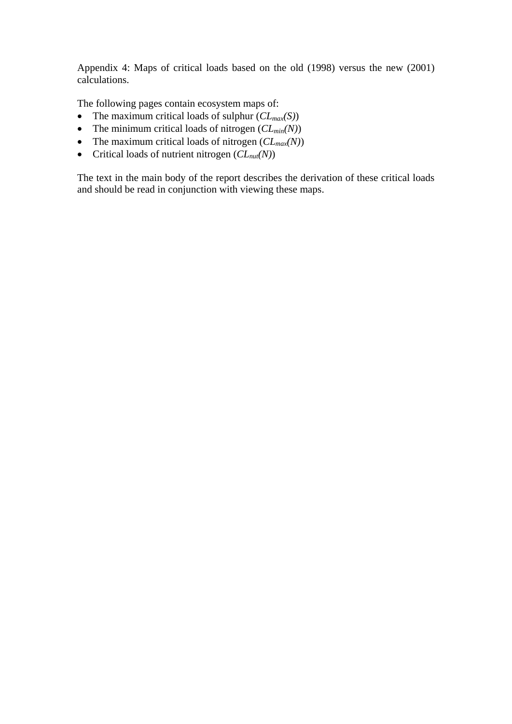Appendix 4: Maps of critical loads based on the old (1998) versus the new (2001) calculations.

The following pages contain ecosystem maps of:

- The maximum critical loads of sulphur (*CLmax(S)*)
- The minimum critical loads of nitrogen  $(CL_{min}(N))$
- The maximum critical loads of nitrogen ( $CL_{max}(N)$ )
- Critical loads of nutrient nitrogen  $(CL_{nu}(N))$

The text in the main body of the report describes the derivation of these critical loads and should be read in conjunction with viewing these maps.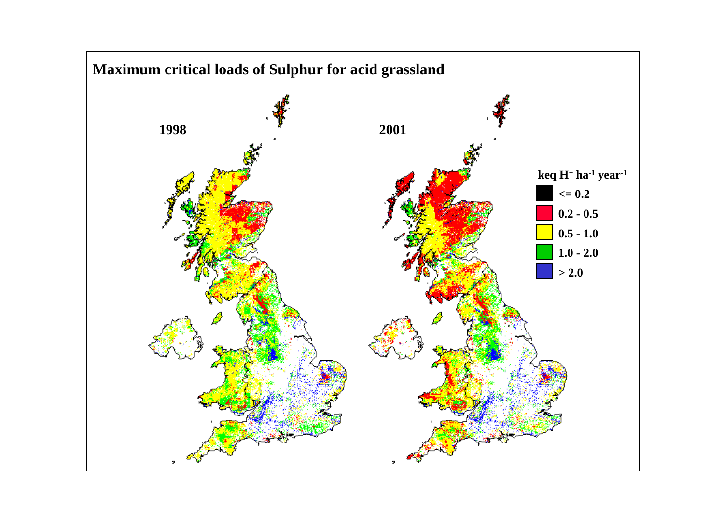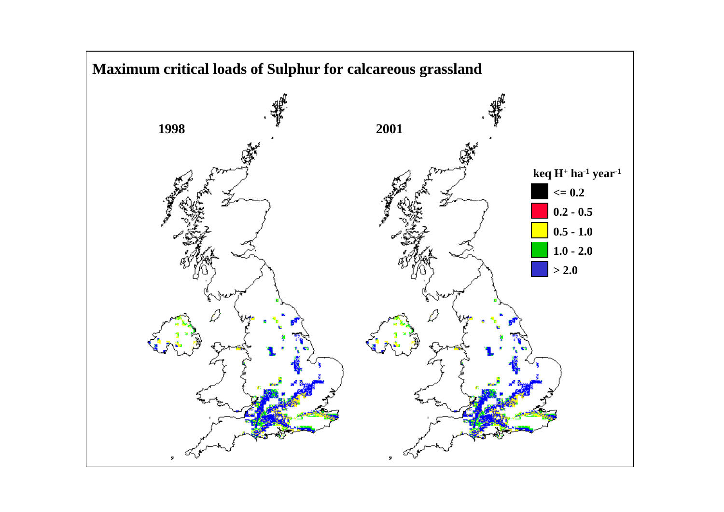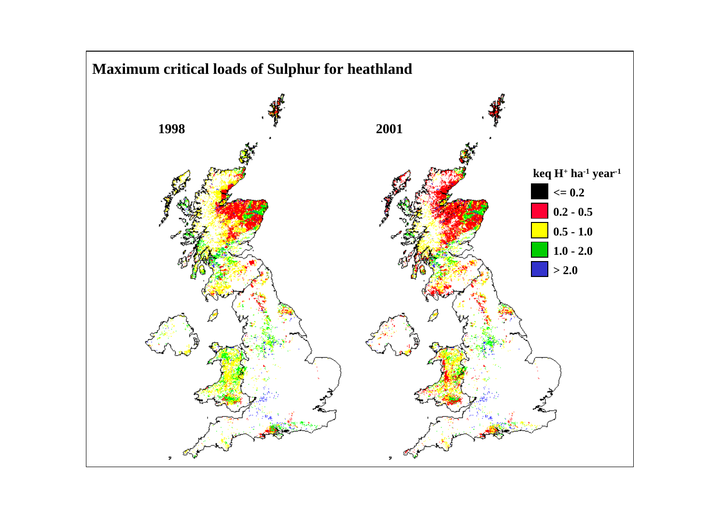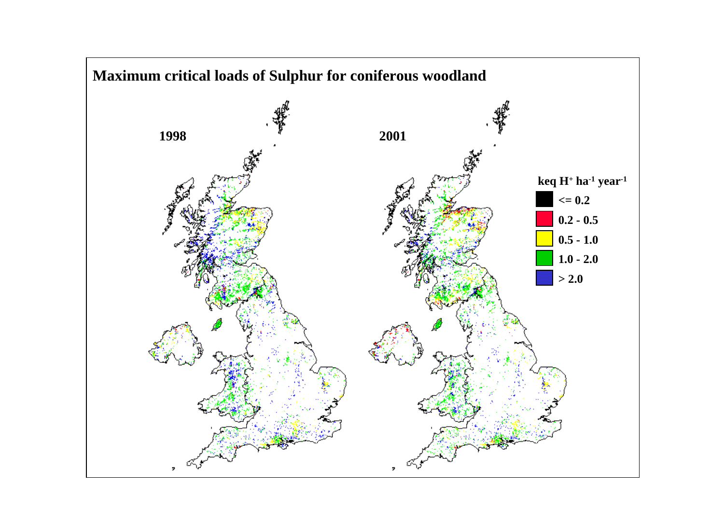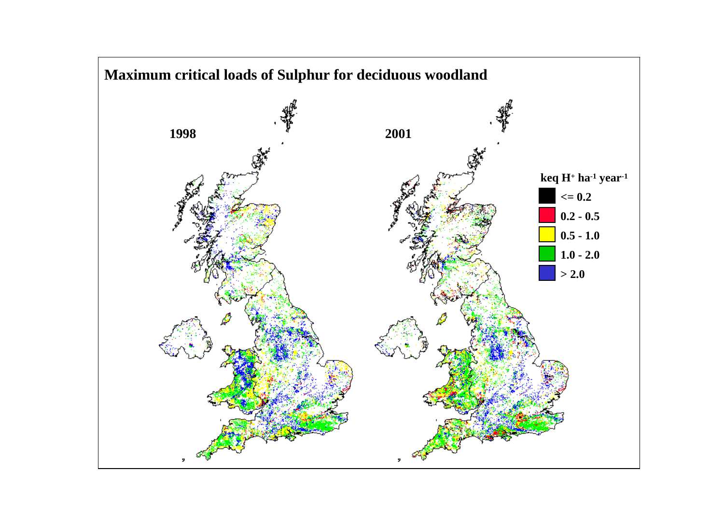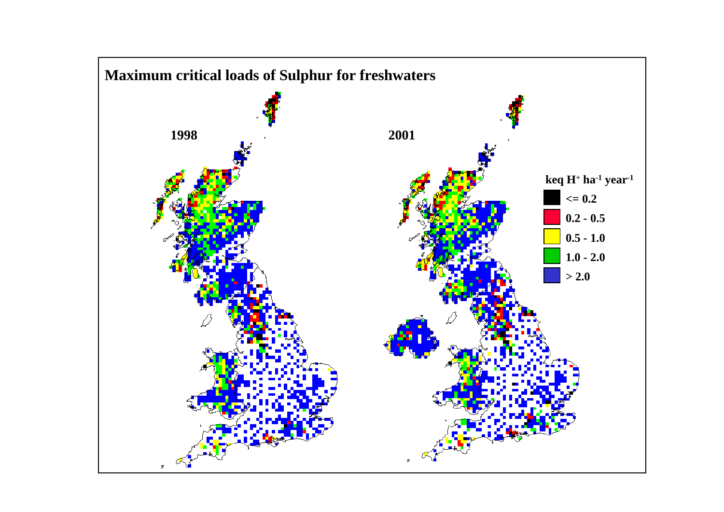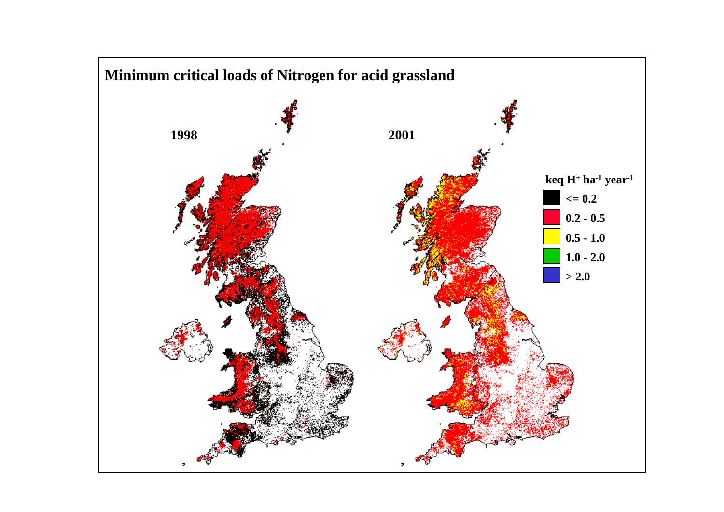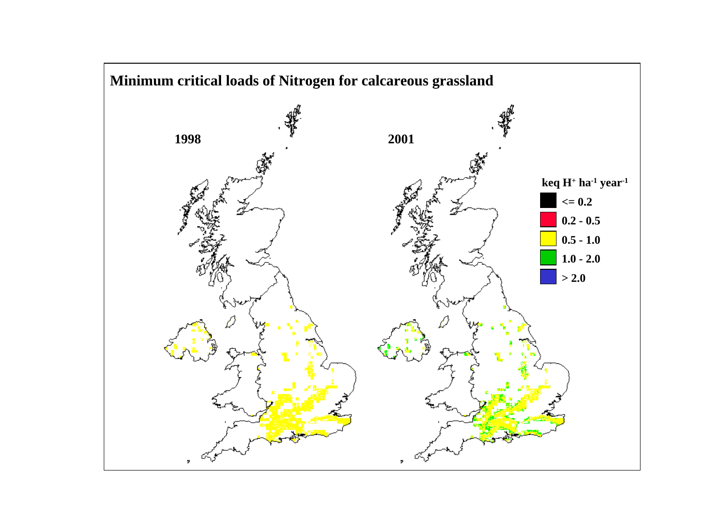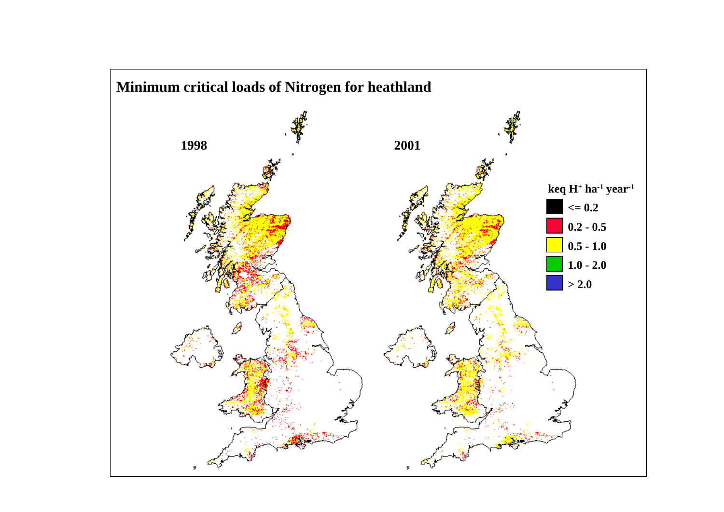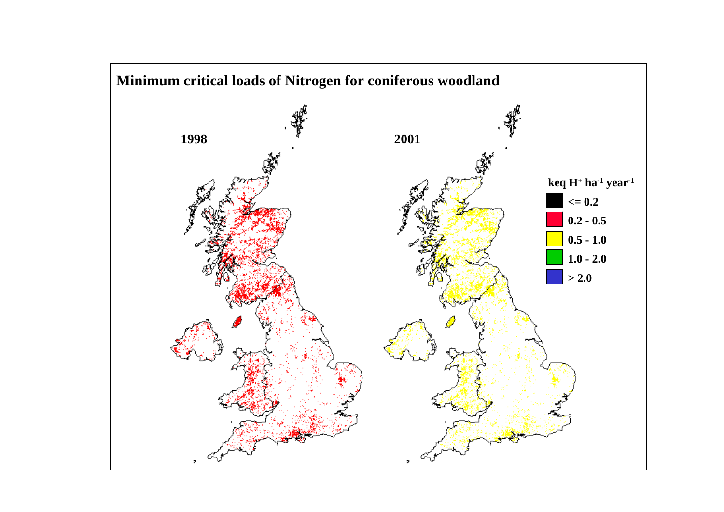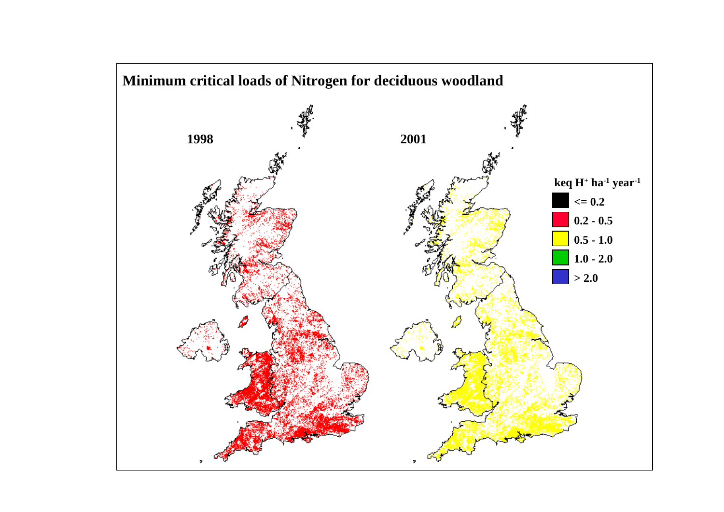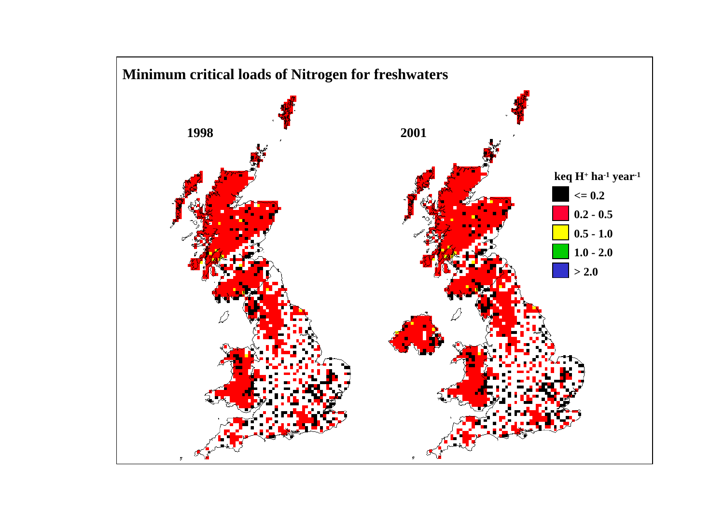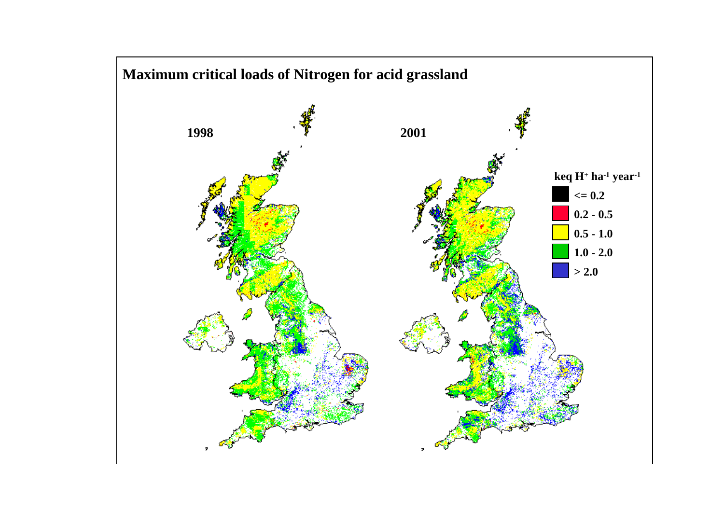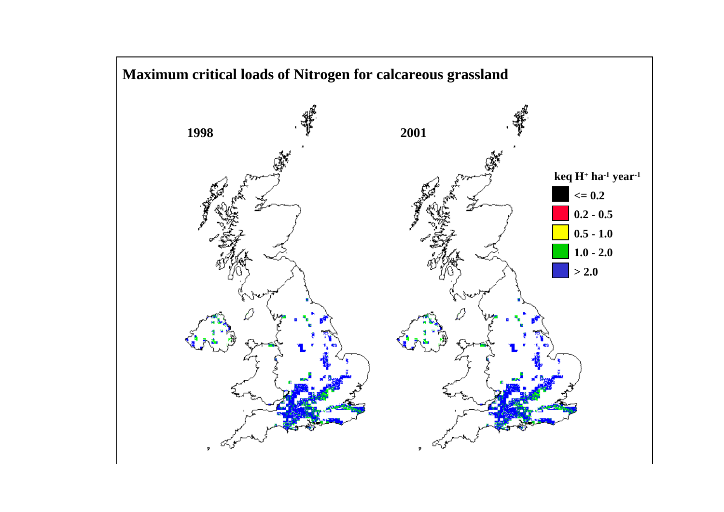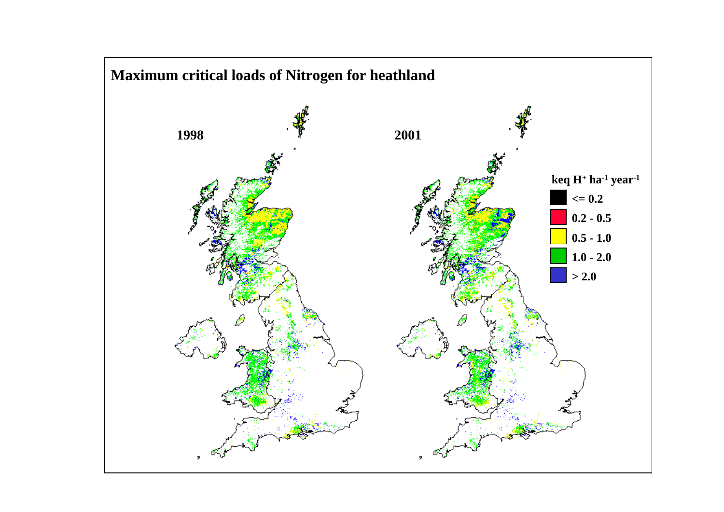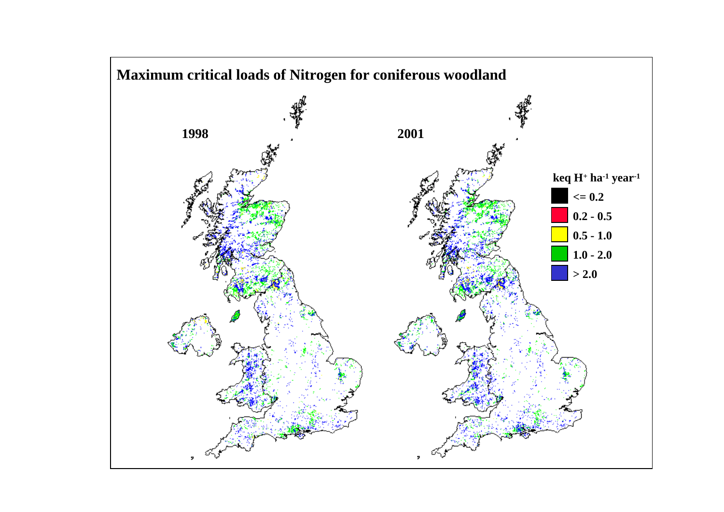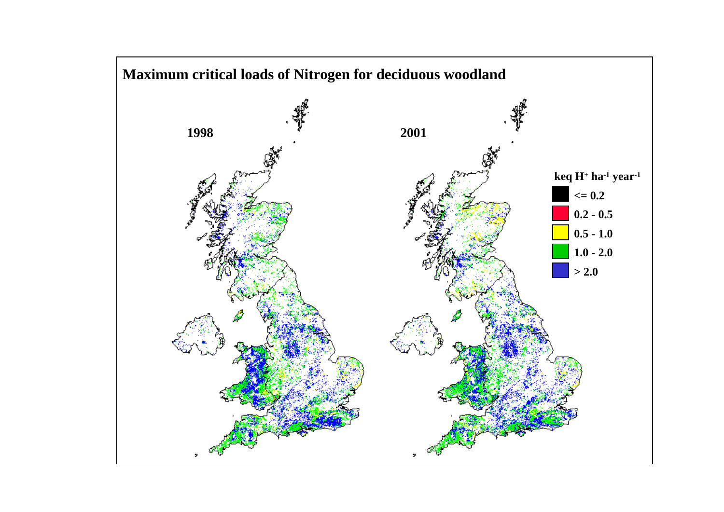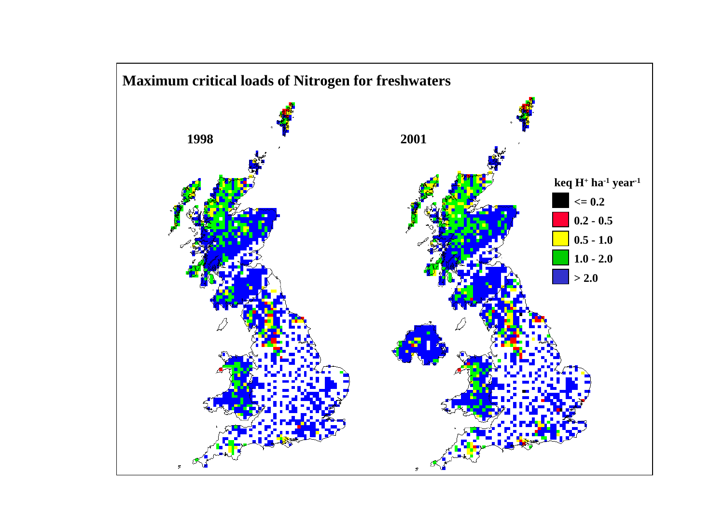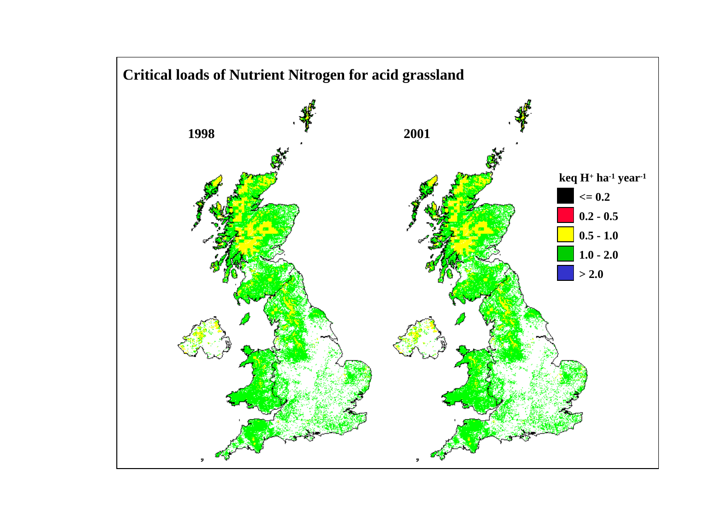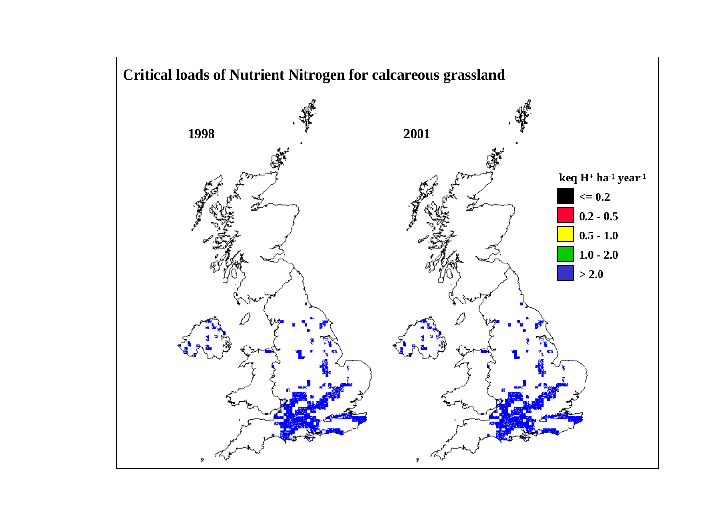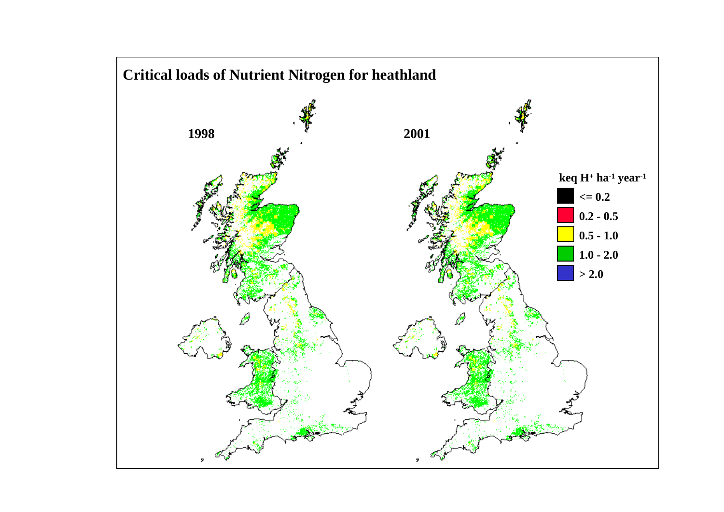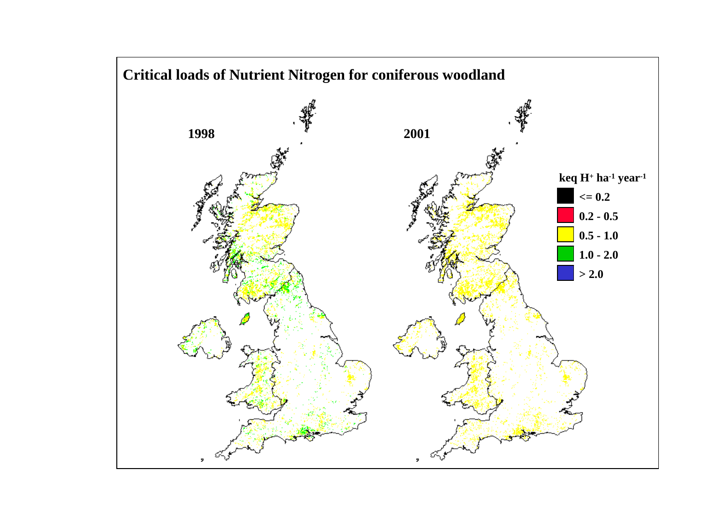